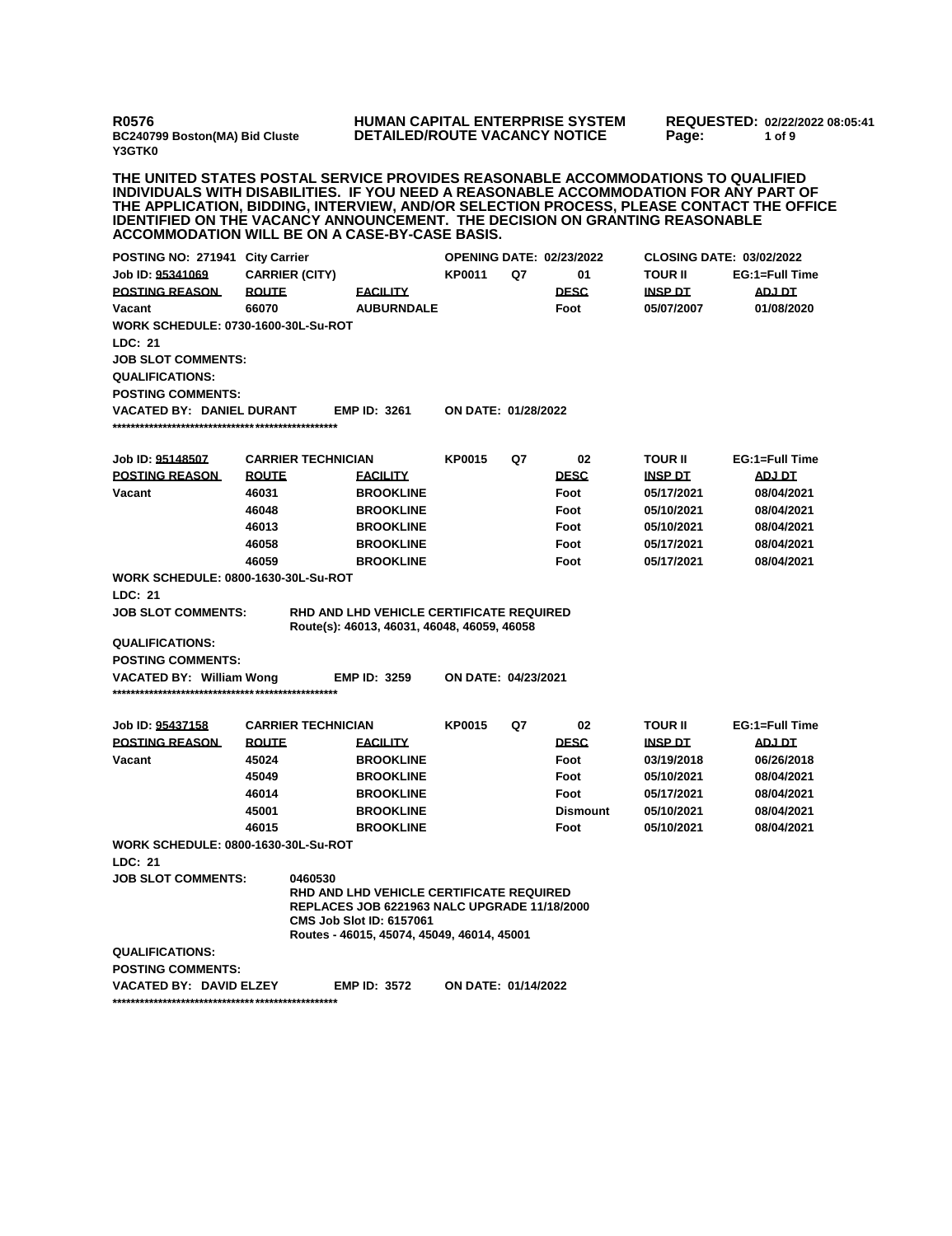**R0576 BC240799 Boston(MA) Bid Cluste Y3GTK0**

## **HUMAN CAPITAL ENTERPRISE SYSTEM DETAILED/ROUTE VACANCY NOTICE**

**REQUESTED: 02/22/2022 08:05:41 Page: 1 of 9** 

**THE UNITED STATES POSTAL SERVICE PROVIDES REASONABLE ACCOMMODATIONS TO QUALIFIED INDIVIDUALS WITH DISABILITIES. IF YOU NEED A REASONABLE ACCOMMODATION FOR ANY PART OF THE APPLICATION, BIDDING, INTERVIEW, AND/OR SELECTION PROCESS, PLEASE CONTACT THE OFFICE IDENTIFIED ON THE VACANCY ANNOUNCEMENT. THE DECISION ON GRANTING REASONABLE ACCOMMODATION WILL BE ON A CASE-BY-CASE BASIS.**

| POSTING NO: 271941 City Carrier            |                           |                                                                                                                                                                                         | <b>OPENING DATE: 02/23/2022</b> |    |                 | <b>CLOSING DATE: 03/02/2022</b> |                |
|--------------------------------------------|---------------------------|-----------------------------------------------------------------------------------------------------------------------------------------------------------------------------------------|---------------------------------|----|-----------------|---------------------------------|----------------|
| Job ID: 95341069                           | <b>CARRIER (CITY)</b>     |                                                                                                                                                                                         | <b>KP0011</b>                   | Q7 | 01              | <b>TOUR II</b>                  | EG:1=Full Time |
| <b>POSTING REASON</b>                      | <b>ROUTE</b>              | <b>FACILITY</b>                                                                                                                                                                         |                                 |    | <b>DESC</b>     | <b>INSP DT</b>                  | <b>ADJ DT</b>  |
| Vacant                                     | 66070                     | <b>AUBURNDALE</b>                                                                                                                                                                       |                                 |    | Foot            | 05/07/2007                      | 01/08/2020     |
| <b>WORK SCHEDULE: 0730-1600-30L-Su-ROT</b> |                           |                                                                                                                                                                                         |                                 |    |                 |                                 |                |
| <b>LDC: 21</b>                             |                           |                                                                                                                                                                                         |                                 |    |                 |                                 |                |
| <b>JOB SLOT COMMENTS:</b>                  |                           |                                                                                                                                                                                         |                                 |    |                 |                                 |                |
| <b>QUALIFICATIONS:</b>                     |                           |                                                                                                                                                                                         |                                 |    |                 |                                 |                |
| <b>POSTING COMMENTS:</b>                   |                           |                                                                                                                                                                                         |                                 |    |                 |                                 |                |
| <b>VACATED BY: DANIEL DURANT</b>           |                           | <b>EMP ID: 3261</b>                                                                                                                                                                     | <b>ON DATE: 01/28/2022</b>      |    |                 |                                 |                |
|                                            |                           |                                                                                                                                                                                         |                                 |    |                 |                                 |                |
|                                            |                           |                                                                                                                                                                                         |                                 |    |                 |                                 |                |
| Job ID: 95148507                           | <b>CARRIER TECHNICIAN</b> |                                                                                                                                                                                         | <b>KP0015</b>                   | Q7 | 02              | <b>TOUR II</b>                  | EG:1=Full Time |
| <b>POSTING REASON</b>                      | <b>ROUTE</b>              | <b>EACILITY</b>                                                                                                                                                                         |                                 |    | <b>DESC</b>     | <b>INSP DT</b>                  | <b>ADJ DT</b>  |
| Vacant                                     | 46031                     | <b>BROOKLINE</b>                                                                                                                                                                        |                                 |    | Foot            | 05/17/2021                      | 08/04/2021     |
|                                            | 46048                     | <b>BROOKLINE</b>                                                                                                                                                                        |                                 |    | Foot            | 05/10/2021                      | 08/04/2021     |
|                                            | 46013                     | <b>BROOKLINE</b>                                                                                                                                                                        |                                 |    | Foot            | 05/10/2021                      | 08/04/2021     |
|                                            | 46058                     | <b>BROOKLINE</b>                                                                                                                                                                        |                                 |    | Foot            | 05/17/2021                      | 08/04/2021     |
|                                            | 46059                     | <b>BROOKLINE</b>                                                                                                                                                                        |                                 |    | Foot            | 05/17/2021                      | 08/04/2021     |
| <b>WORK SCHEDULE: 0800-1630-30L-Su-ROT</b> |                           |                                                                                                                                                                                         |                                 |    |                 |                                 |                |
| <b>LDC: 21</b>                             |                           |                                                                                                                                                                                         |                                 |    |                 |                                 |                |
| <b>JOB SLOT COMMENTS:</b>                  |                           | <b>RHD AND LHD VEHICLE CERTIFICATE REQUIRED</b><br>Route(s): 46013, 46031, 46048, 46059, 46058                                                                                          |                                 |    |                 |                                 |                |
| <b>QUALIFICATIONS:</b>                     |                           |                                                                                                                                                                                         |                                 |    |                 |                                 |                |
| <b>POSTING COMMENTS:</b>                   |                           |                                                                                                                                                                                         |                                 |    |                 |                                 |                |
| VACATED BY: William Wong                   |                           | <b>EMP ID: 3259</b>                                                                                                                                                                     | ON DATE: 04/23/2021             |    |                 |                                 |                |
|                                            |                           |                                                                                                                                                                                         |                                 |    |                 |                                 |                |
| Job ID: 95437158                           | <b>CARRIER TECHNICIAN</b> |                                                                                                                                                                                         | <b>KP0015</b>                   | Q7 | 02              | <b>TOUR II</b>                  | EG:1=Full Time |
| <b>POSTING REASON</b>                      | <b>ROUTE</b>              | <b>EACILITY</b>                                                                                                                                                                         |                                 |    | <b>DESC</b>     | <b>INSP DT</b>                  | <b>ADJ DT</b>  |
| Vacant                                     | 45024                     | <b>BROOKLINE</b>                                                                                                                                                                        |                                 |    | Foot            | 03/19/2018                      | 06/26/2018     |
|                                            | 45049                     | <b>BROOKLINE</b>                                                                                                                                                                        |                                 |    | Foot            | 05/10/2021                      | 08/04/2021     |
|                                            | 46014                     | <b>BROOKLINE</b>                                                                                                                                                                        |                                 |    | Foot            | 05/17/2021                      | 08/04/2021     |
|                                            | 45001                     | <b>BROOKLINE</b>                                                                                                                                                                        |                                 |    | <b>Dismount</b> | 05/10/2021                      | 08/04/2021     |
|                                            | 46015                     | <b>BROOKLINE</b>                                                                                                                                                                        |                                 |    | Foot            | 05/10/2021                      | 08/04/2021     |
| <b>WORK SCHEDULE: 0800-1630-30L-Su-ROT</b> |                           |                                                                                                                                                                                         |                                 |    |                 |                                 |                |
| LDC: 21                                    |                           |                                                                                                                                                                                         |                                 |    |                 |                                 |                |
| <b>JOB SLOT COMMENTS:</b>                  | 0460530                   |                                                                                                                                                                                         |                                 |    |                 |                                 |                |
|                                            |                           | <b>RHD AND LHD VEHICLE CERTIFICATE REQUIRED</b><br><b>REPLACES JOB 6221963 NALC UPGRADE 11/18/2000</b><br><b>CMS Job Slot ID: 6157061</b><br>Routes - 46015, 45074, 45049, 46014, 45001 |                                 |    |                 |                                 |                |
| <b>QUALIFICATIONS:</b>                     |                           |                                                                                                                                                                                         |                                 |    |                 |                                 |                |
| <b>POSTING COMMENTS:</b>                   |                           |                                                                                                                                                                                         |                                 |    |                 |                                 |                |
| <b>VACATED BY: DAVID ELZEY</b>             |                           | <b>EMP ID: 3572</b>                                                                                                                                                                     | <b>ON DATE: 01/14/2022</b>      |    |                 |                                 |                |
|                                            |                           |                                                                                                                                                                                         |                                 |    |                 |                                 |                |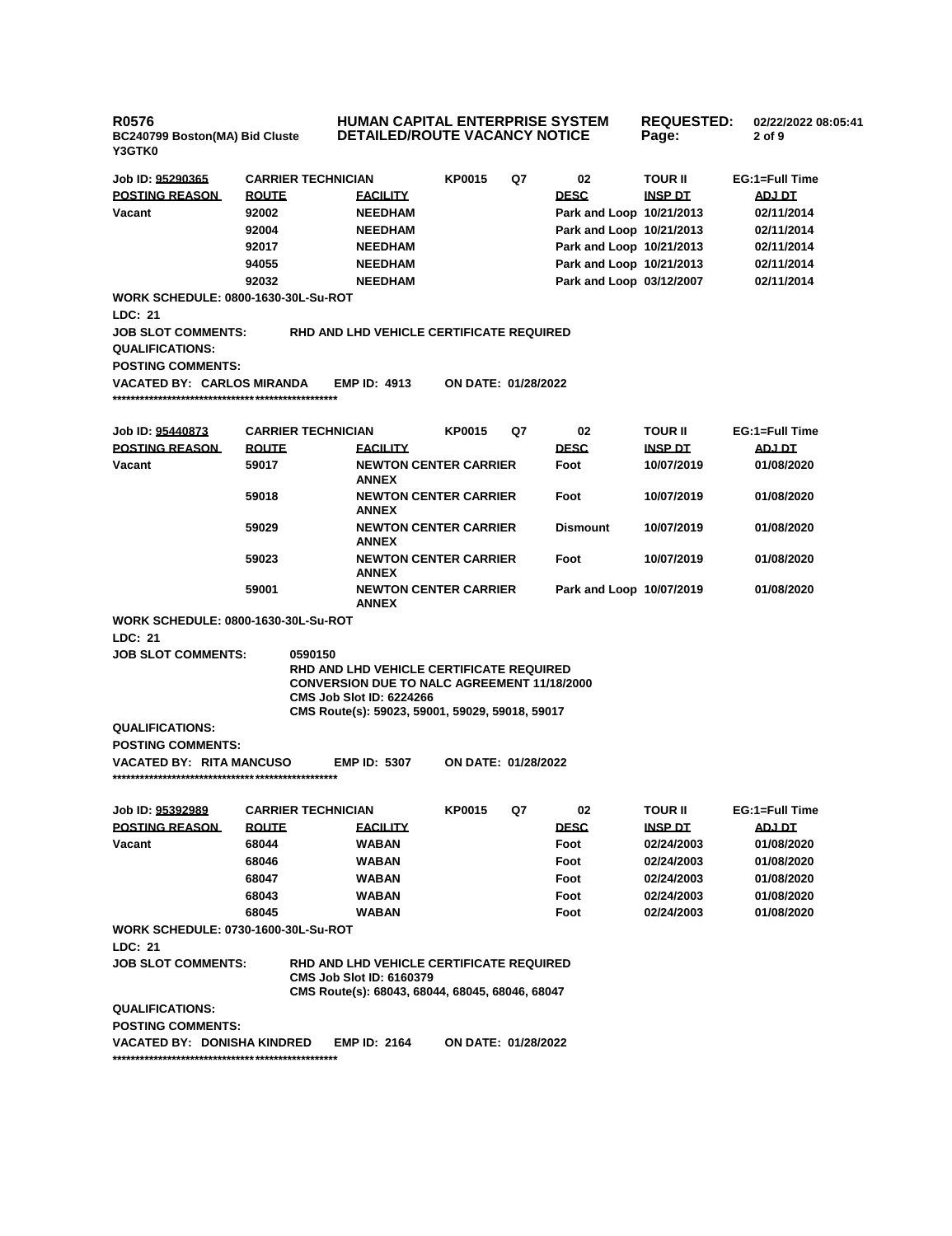**R0576 BC240799 Boston(MA) Bid Cluste Y3GTK0**

**HUMAN CAPITAL ENTERPRISE SYSTEM DETAILED/ROUTE VACANCY NOTICE**

**REQUESTED: 02/22/2022 08:05:41 Page: 2 of 9** 

**Dismount 10/07/2019 01/08/2020**

**Foot 10/07/2019 01/08/2020**

**Park and Loop 10/07/2019 01/08/2020**

| Job ID: 95290365                           | <b>CARRIER TECHNICIAN</b> |                                          | KP0015                       | Q7 | 02                       | <b>TOUR II</b> | EG:1=Full Time |
|--------------------------------------------|---------------------------|------------------------------------------|------------------------------|----|--------------------------|----------------|----------------|
| <b>POSTING REASON</b>                      | <b>ROUTE</b>              | <b>EACILITY</b>                          |                              |    | <b>DESC</b>              | <b>INSP DT</b> | ADJ DT         |
| Vacant                                     | 92002                     | <b>NEEDHAM</b>                           |                              |    | Park and Loop 10/21/2013 |                | 02/11/2014     |
|                                            | 92004                     | <b>NEEDHAM</b>                           |                              |    | Park and Loop 10/21/2013 |                | 02/11/2014     |
|                                            | 92017                     | <b>NEEDHAM</b>                           |                              |    | Park and Loop 10/21/2013 |                | 02/11/2014     |
|                                            | 94055                     | <b>NEEDHAM</b>                           |                              |    | Park and Loop 10/21/2013 |                | 02/11/2014     |
|                                            | 92032                     | <b>NEEDHAM</b>                           |                              |    | Park and Loop 03/12/2007 |                | 02/11/2014     |
| <b>WORK SCHEDULE: 0800-1630-30L-Su-ROT</b> |                           |                                          |                              |    |                          |                |                |
| LDC: 21                                    |                           |                                          |                              |    |                          |                |                |
| <b>JOB SLOT COMMENTS:</b>                  |                           | RHD AND LHD VEHICLE CERTIFICATE REQUIRED |                              |    |                          |                |                |
| <b>QUALIFICATIONS:</b>                     |                           |                                          |                              |    |                          |                |                |
| <b>POSTING COMMENTS:</b>                   |                           |                                          |                              |    |                          |                |                |
| <b>VACATED BY: CARLOS MIRANDA</b>          |                           | <b>EMP ID: 4913</b>                      | ON DATE: 01/28/2022          |    |                          |                |                |
|                                            |                           |                                          |                              |    |                          |                |                |
| Job ID: 95440873                           | <b>CARRIER TECHNICIAN</b> |                                          | <b>KP0015</b>                | Q7 | 02                       | <b>TOUR II</b> | EG:1=Full Time |
| <b>POSTING REASON</b>                      | <b>ROUTE</b>              | <b>FACILITY</b>                          |                              |    | <b>DESC</b>              | <b>INSP DT</b> | ADJ DT         |
|                                            |                           |                                          |                              |    |                          |                |                |
| Vacant                                     | 59017                     | <b>ANNEX</b>                             | <b>NEWTON CENTER CARRIER</b> |    | Foot                     | 10/07/2019     | 01/08/2020     |
|                                            | 59018                     |                                          | <b>NEWTON CENTER CARRIER</b> |    | Foot                     | 10/07/2019     | 01/08/2020     |

**ANNEX**

**59029 NEWTON CENTER CARRIER ANNEX**

**59023 NEWTON CENTER CARRIER ANNEX**

**59001 NEWTON CENTER CARRIER ANNEX**

**CMS Job Slot ID: 6224266**

**RHD AND LHD VEHICLE CERTIFICATE REQUIRED CONVERSION DUE TO NALC AGREEMENT 11/18/2000**

|                          | CMS Route(s): 59023, 59001, 59029, 59018, 59017 |                            |
|--------------------------|-------------------------------------------------|----------------------------|
| <b>QUALIFICATIONS:</b>   |                                                 |                            |
| <b>POSTING COMMENTS:</b> |                                                 |                            |
| VACATED BY: RITA MANCUSO | <b>EMP ID: 5307</b>                             | <b>ON DATE: 01/28/2022</b> |

**\*\*\*\*\*\*\*\*\*\*\*\*\*\*\*\*\*\*\*\*\*\*\*\*\*\*\*\*\*\*\*\*\*\*\*\*\*\*\*\*\*\*\*\*\*\*\*\*\***

**WORK SCHEDULE: 0800-1630-30L-Su-ROT**

**JOB SLOT COMMENTS: 0590150**

**LDC: 21**

| Job ID: 95392989                            | <b>CARRIER TECHNICIAN</b> |                                                                                                                                | <b>KP0015</b> | Q7 | 02          | <b>TOUR II</b> | EG:1=Full Time |
|---------------------------------------------|---------------------------|--------------------------------------------------------------------------------------------------------------------------------|---------------|----|-------------|----------------|----------------|
| <b>POSTING REASON</b>                       | <b>ROUTE</b>              | <b>FACILITY</b>                                                                                                                |               |    | <b>DESC</b> | <b>INSP DT</b> | ADJ DT         |
| Vacant                                      | 68044                     | <b>WABAN</b>                                                                                                                   |               |    | Foot        | 02/24/2003     | 01/08/2020     |
|                                             | 68046                     | <b>WABAN</b>                                                                                                                   |               |    | Foot        | 02/24/2003     | 01/08/2020     |
|                                             | 68047                     | <b>WABAN</b>                                                                                                                   |               |    | Foot        | 02/24/2003     | 01/08/2020     |
|                                             | 68043                     | <b>WABAN</b>                                                                                                                   |               |    | Foot        | 02/24/2003     | 01/08/2020     |
|                                             | 68045                     | <b>WABAN</b>                                                                                                                   |               |    | Foot        | 02/24/2003     | 01/08/2020     |
| <b>WORK SCHEDULE: 0730-1600-30L-Su-ROT</b>  |                           |                                                                                                                                |               |    |             |                |                |
| LDC: 21                                     |                           |                                                                                                                                |               |    |             |                |                |
| <b>JOB SLOT COMMENTS:</b>                   |                           | RHD AND LHD VEHICLE CERTIFICATE REQUIRED<br><b>CMS Job Slot ID: 6160379</b><br>CMS Route(s): 68043, 68044, 68045, 68046, 68047 |               |    |             |                |                |
| QUALIFICATIONS:<br><b>POSTING COMMENTS:</b> |                           |                                                                                                                                |               |    |             |                |                |

**VACATED BY: DONISHA KINDRED EMP ID: 2164 ON DATE: 01/28/2022 \*\*\*\*\*\*\*\*\*\*\*\*\*\*\*\*\*\*\*\*\*\*\*\*\*\*\*\*\*\*\*\*\*\*\*\*\*\*\*\*\*\*\*\*\*\*\*\*\***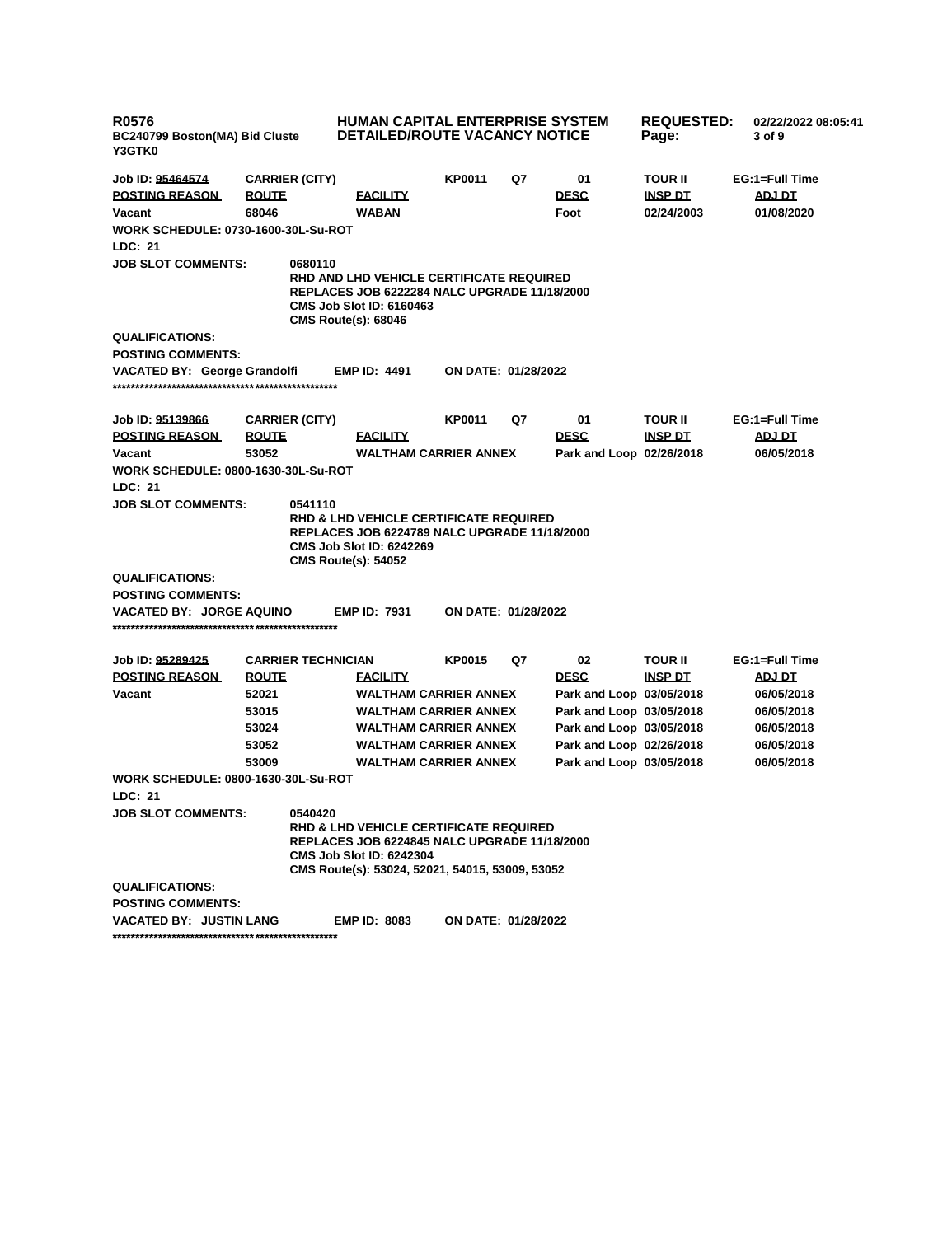| <b>R0576</b><br>BC240799 Boston(MA) Bid Cluste<br><b>Y3GTK0</b> |                       |                           | <b>HUMAN CAPITAL ENTERPRISE SYSTEM</b><br><b>DETAILED/ROUTE VACANCY NOTICE</b>                                                                                                                 |                            |    | <b>REQUESTED:</b><br>Page: | 02/22/2022 08:05:41<br>3 of 9 |                |
|-----------------------------------------------------------------|-----------------------|---------------------------|------------------------------------------------------------------------------------------------------------------------------------------------------------------------------------------------|----------------------------|----|----------------------------|-------------------------------|----------------|
| Job ID: 95464574                                                | <b>CARRIER (CITY)</b> |                           |                                                                                                                                                                                                | KP0011                     | Q7 | 01                         | <b>TOUR II</b>                | EG:1=Full Time |
| <b>POSTING REASON</b>                                           | <b>ROUTE</b>          |                           | <b>FACILITY</b>                                                                                                                                                                                |                            |    | <b>DESC</b>                | <b>INSP DT</b>                | <b>ADJ DT</b>  |
| Vacant                                                          | 68046                 |                           | <b>WABAN</b>                                                                                                                                                                                   |                            |    | Foot                       | 02/24/2003                    | 01/08/2020     |
| <b>WORK SCHEDULE: 0730-1600-30L-Su-ROT</b>                      |                       |                           |                                                                                                                                                                                                |                            |    |                            |                               |                |
| <b>LDC: 21</b>                                                  |                       |                           |                                                                                                                                                                                                |                            |    |                            |                               |                |
| <b>JOB SLOT COMMENTS:</b>                                       |                       | 0680110                   | <b>RHD AND LHD VEHICLE CERTIFICATE REQUIRED</b><br><b>REPLACES JOB 6222284 NALC UPGRADE 11/18/2000</b><br><b>CMS Job Slot ID: 6160463</b><br><b>CMS Route(s): 68046</b>                        |                            |    |                            |                               |                |
| <b>QUALIFICATIONS:</b>                                          |                       |                           |                                                                                                                                                                                                |                            |    |                            |                               |                |
| <b>POSTING COMMENTS:</b>                                        |                       |                           |                                                                                                                                                                                                |                            |    |                            |                               |                |
| <b>VACATED BY: George Grandolfi</b>                             |                       |                           | <b>EMP ID: 4491</b>                                                                                                                                                                            | <b>ON DATE: 01/28/2022</b> |    |                            |                               |                |
| Job ID: 95139866                                                | <b>CARRIER (CITY)</b> |                           |                                                                                                                                                                                                | KP0011                     | Q7 | 01                         | <b>TOUR II</b>                | EG:1=Full Time |
| <b>POSTING REASON</b>                                           | <u>ROUTE</u>          |                           | <b>FACILITY</b>                                                                                                                                                                                |                            |    | <b>DESC</b>                | <b>INSP DT</b>                | <b>ADJ DT</b>  |
| Vacant                                                          | 53052                 |                           | <b>WALTHAM CARRIER ANNEX</b>                                                                                                                                                                   |                            |    | Park and Loop 02/26/2018   |                               | 06/05/2018     |
| <b>WORK SCHEDULE: 0800-1630-30L-Su-ROT</b>                      |                       |                           |                                                                                                                                                                                                |                            |    |                            |                               |                |
| LDC: 21                                                         |                       |                           |                                                                                                                                                                                                |                            |    |                            |                               |                |
| <b>JOB SLOT COMMENTS:</b>                                       |                       | 0541110                   | <b>RHD &amp; LHD VEHICLE CERTIFICATE REQUIRED</b><br><b>REPLACES JOB 6224789 NALC UPGRADE 11/18/2000</b><br><b>CMS Job Slot ID: 6242269</b><br><b>CMS Route(s): 54052</b>                      |                            |    |                            |                               |                |
| <b>QUALIFICATIONS:</b>                                          |                       |                           |                                                                                                                                                                                                |                            |    |                            |                               |                |
| <b>POSTING COMMENTS:</b>                                        |                       |                           |                                                                                                                                                                                                |                            |    |                            |                               |                |
| VACATED BY: JORGE AQUINO                                        |                       |                           | <b>EMP ID: 7931</b>                                                                                                                                                                            | ON DATE: 01/28/2022        |    |                            |                               |                |
| Job ID: 95289425                                                |                       | <b>CARRIER TECHNICIAN</b> |                                                                                                                                                                                                | KP0015                     | Q7 | 02                         | <b>TOUR II</b>                | EG:1=Full Time |
| <b>POSTING REASON</b>                                           | <u>ROUTE</u>          |                           | <b>FACILITY</b>                                                                                                                                                                                |                            |    | <b>DESC</b>                | <u>INSP DT</u>                | ADJ DT         |
| Vacant                                                          | 52021                 |                           | <b>WALTHAM CARRIER ANNEX</b>                                                                                                                                                                   |                            |    | Park and Loop 03/05/2018   |                               | 06/05/2018     |
|                                                                 | 53015                 |                           | <b>WALTHAM CARRIER ANNEX</b>                                                                                                                                                                   |                            |    | Park and Loop 03/05/2018   |                               | 06/05/2018     |
|                                                                 | 53024                 |                           | <b>WALTHAM CARRIER ANNEX</b>                                                                                                                                                                   |                            |    | Park and Loop 03/05/2018   |                               | 06/05/2018     |
|                                                                 | 53052                 |                           | <b>WALTHAM CARRIER ANNEX</b>                                                                                                                                                                   |                            |    | Park and Loop 02/26/2018   |                               | 06/05/2018     |
|                                                                 | 53009                 |                           | <b>WALTHAM CARRIER ANNEX</b>                                                                                                                                                                   |                            |    | Park and Loop 03/05/2018   |                               | 06/05/2018     |
| <b>WORK SCHEDULE: 0800-1630-30L-Su-ROT</b>                      |                       |                           |                                                                                                                                                                                                |                            |    |                            |                               |                |
| LDC: 21                                                         |                       |                           |                                                                                                                                                                                                |                            |    |                            |                               |                |
| <b>JOB SLOT COMMENTS:</b>                                       |                       | 0540420                   | <b>RHD &amp; LHD VEHICLE CERTIFICATE REQUIRED</b><br><b>REPLACES JOB 6224845 NALC UPGRADE 11/18/2000</b><br><b>CMS Job Slot ID: 6242304</b><br>CMS Route(s): 53024, 52021, 54015, 53009, 53052 |                            |    |                            |                               |                |
| <b>QUALIFICATIONS:</b>                                          |                       |                           |                                                                                                                                                                                                |                            |    |                            |                               |                |
| <b>POSTING COMMENTS:</b>                                        |                       |                           |                                                                                                                                                                                                |                            |    |                            |                               |                |
| <b>VACATED BY: JUSTIN LANG</b>                                  |                       |                           | <b>EMP ID: 8083</b>                                                                                                                                                                            | ON DATE: 01/28/2022        |    |                            |                               |                |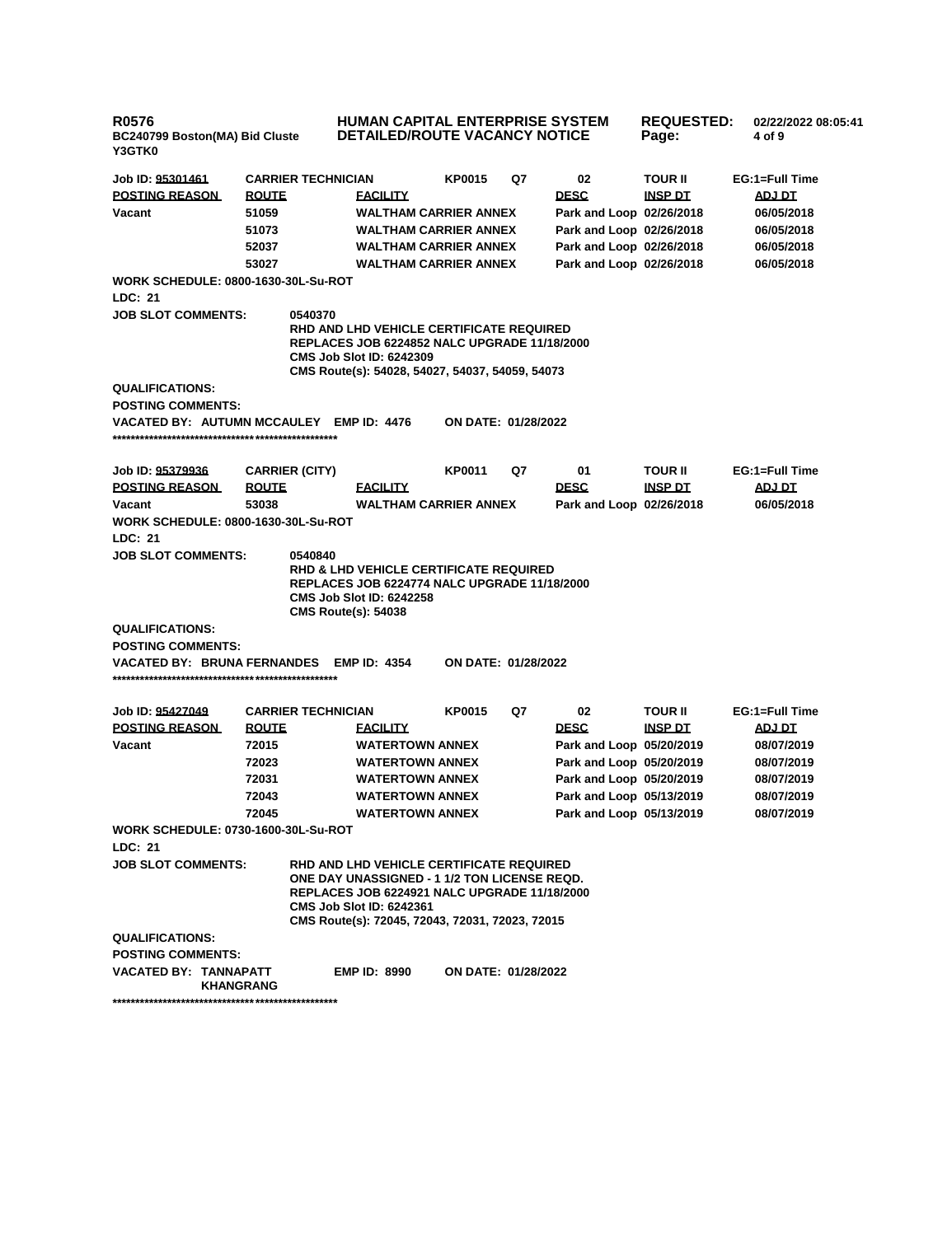| <b>R0576</b><br>BC240799 Boston(MA) Bid Cluste<br>Y3GTK0 |              |                                       | <b>HUMAN CAPITAL ENTERPRISE SYSTEM</b><br><b>DETAILED/ROUTE VACANCY NOTICE</b>                                                                                                                                                 |                            |    | <b>REQUESTED:</b><br>Page: |                                                                                  | 02/22/2022 08:05:41<br>4 of 9 |                |
|----------------------------------------------------------|--------------|---------------------------------------|--------------------------------------------------------------------------------------------------------------------------------------------------------------------------------------------------------------------------------|----------------------------|----|----------------------------|----------------------------------------------------------------------------------|-------------------------------|----------------|
| Job ID: 95301461                                         |              | <b>CARRIER TECHNICIAN</b>             |                                                                                                                                                                                                                                | <b>KP0015</b>              | Q7 | 02                         | TOUR II                                                                          |                               | EG:1=Full Time |
| <b>POSTING REASON</b>                                    | <b>ROUTE</b> |                                       | <b>FACILITY</b>                                                                                                                                                                                                                |                            |    | <b>DESC</b>                | <b>INSP DT</b>                                                                   | ADJ DT                        |                |
| Vacant                                                   | 51059        |                                       | <b>WALTHAM CARRIER ANNEX</b>                                                                                                                                                                                                   |                            |    | Park and Loop 02/26/2018   |                                                                                  |                               | 06/05/2018     |
|                                                          | 51073        |                                       | <b>WALTHAM CARRIER ANNEX</b>                                                                                                                                                                                                   |                            |    |                            | Park and Loop 02/26/2018<br>06/05/2018<br>Park and Loop 02/26/2018<br>06/05/2018 |                               |                |
|                                                          | 52037        |                                       | <b>WALTHAM CARRIER ANNEX</b>                                                                                                                                                                                                   |                            |    |                            |                                                                                  |                               |                |
|                                                          | 53027        |                                       | <b>WALTHAM CARRIER ANNEX</b>                                                                                                                                                                                                   |                            |    | Park and Loop 02/26/2018   |                                                                                  |                               | 06/05/2018     |
| <b>WORK SCHEDULE: 0800-1630-30L-Su-ROT</b>               |              |                                       |                                                                                                                                                                                                                                |                            |    |                            |                                                                                  |                               |                |
| LDC: 21                                                  |              |                                       |                                                                                                                                                                                                                                |                            |    |                            |                                                                                  |                               |                |
| <b>JOB SLOT COMMENTS:</b>                                |              | 0540370                               | RHD AND LHD VEHICLE CERTIFICATE REQUIRED<br><b>REPLACES JOB 6224852 NALC UPGRADE 11/18/2000</b><br><b>CMS Job Slot ID: 6242309</b><br>CMS Route(s): 54028, 54027, 54037, 54059, 54073                                          |                            |    |                            |                                                                                  |                               |                |
| <b>QUALIFICATIONS:</b>                                   |              |                                       |                                                                                                                                                                                                                                |                            |    |                            |                                                                                  |                               |                |
| <b>POSTING COMMENTS:</b>                                 |              |                                       |                                                                                                                                                                                                                                |                            |    |                            |                                                                                  |                               |                |
| VACATED BY: AUTUMN MCCAULEY EMP ID: 4476                 |              |                                       |                                                                                                                                                                                                                                | <b>ON DATE: 01/28/2022</b> |    |                            |                                                                                  |                               |                |
| Job ID: 95379936                                         |              | <b>CARRIER (CITY)</b>                 |                                                                                                                                                                                                                                | <b>KP0011</b>              | Q7 | 01                         | TOUR II                                                                          |                               | EG:1=Full Time |
| <b>POSTING REASON</b>                                    | <b>ROUTE</b> |                                       | <b>FACILITY</b>                                                                                                                                                                                                                |                            |    | <b>DESC</b>                | INSP DT                                                                          |                               | ADJ DT         |
| Vacant                                                   | 53038        |                                       | <b>WALTHAM CARRIER ANNEX</b>                                                                                                                                                                                                   |                            |    | Park and Loop 02/26/2018   |                                                                                  |                               | 06/05/2018     |
| <b>WORK SCHEDULE: 0800-1630-30L-Su-ROT</b>               |              |                                       |                                                                                                                                                                                                                                |                            |    |                            |                                                                                  |                               |                |
| LDC: 21                                                  |              |                                       |                                                                                                                                                                                                                                |                            |    |                            |                                                                                  |                               |                |
| <b>JOB SLOT COMMENTS:</b>                                |              | 0540840<br><b>CMS Route(s): 54038</b> | RHD & LHD VEHICLE CERTIFICATE REQUIRED<br><b>REPLACES JOB 6224774 NALC UPGRADE 11/18/2000</b><br><b>CMS Job Slot ID: 6242258</b>                                                                                               |                            |    |                            |                                                                                  |                               |                |
| <b>QUALIFICATIONS:</b>                                   |              |                                       |                                                                                                                                                                                                                                |                            |    |                            |                                                                                  |                               |                |
| <b>POSTING COMMENTS:</b>                                 |              |                                       |                                                                                                                                                                                                                                |                            |    |                            |                                                                                  |                               |                |
| <b>VACATED BY: BRUNA FERNANDES</b>                       |              |                                       | <b>EMP ID: 4354</b>                                                                                                                                                                                                            | ON DATE: 01/28/2022        |    |                            |                                                                                  |                               |                |
| Job ID: 95427049                                         |              | <b>CARRIER TECHNICIAN</b>             |                                                                                                                                                                                                                                | KP0015                     | Q7 | 02                         | TOUR II                                                                          |                               | EG:1=Full Time |
| <b>POSTING REASON</b>                                    | <b>ROUTE</b> |                                       | <b>FACILITY</b>                                                                                                                                                                                                                |                            |    | <b>DESC</b>                | <u>INSP DT</u>                                                                   |                               | <u>ADJ DT</u>  |
| Vacant                                                   | 72015        |                                       | <b>WATERTOWN ANNEX</b>                                                                                                                                                                                                         |                            |    | Park and Loop 05/20/2019   |                                                                                  |                               | 08/07/2019     |
|                                                          | 72023        |                                       | <b>WATERTOWN ANNEX</b>                                                                                                                                                                                                         |                            |    | Park and Loop 05/20/2019   |                                                                                  |                               | 08/07/2019     |
|                                                          | 72031        |                                       | <b>WATERTOWN ANNEX</b>                                                                                                                                                                                                         |                            |    | Park and Loop 05/20/2019   |                                                                                  |                               | 08/07/2019     |
|                                                          | 72043        |                                       | <b>WATERTOWN ANNEX</b>                                                                                                                                                                                                         |                            |    | Park and Loop 05/13/2019   |                                                                                  |                               | 08/07/2019     |
|                                                          | 72045        |                                       | <b>WATERTOWN ANNEX</b>                                                                                                                                                                                                         |                            |    | Park and Loop 05/13/2019   |                                                                                  |                               | 08/07/2019     |
| <b>WORK SCHEDULE: 0730-1600-30L-Su-ROT</b>               |              |                                       |                                                                                                                                                                                                                                |                            |    |                            |                                                                                  |                               |                |
| LDC: 21                                                  |              |                                       |                                                                                                                                                                                                                                |                            |    |                            |                                                                                  |                               |                |
| <b>JOB SLOT COMMENTS:</b>                                |              |                                       | RHD AND LHD VEHICLE CERTIFICATE REQUIRED<br>ONE DAY UNASSIGNED - 1 1/2 TON LICENSE REQD.<br>REPLACES JOB 6224921 NALC UPGRADE 11/18/2000<br><b>CMS Job Slot ID: 6242361</b><br>CMS Route(s): 72045, 72043, 72031, 72023, 72015 |                            |    |                            |                                                                                  |                               |                |
| <b>QUALIFICATIONS:</b>                                   |              |                                       |                                                                                                                                                                                                                                |                            |    |                            |                                                                                  |                               |                |
| <b>POSTING COMMENTS:</b>                                 |              |                                       |                                                                                                                                                                                                                                |                            |    |                            |                                                                                  |                               |                |
| VACATED BY: TANNAPATT<br><b>KHANGRANG</b>                |              |                                       | <b>EMP ID: 8990</b>                                                                                                                                                                                                            | <b>ON DATE: 01/28/2022</b> |    |                            |                                                                                  |                               |                |
|                                                          |              |                                       |                                                                                                                                                                                                                                |                            |    |                            |                                                                                  |                               |                |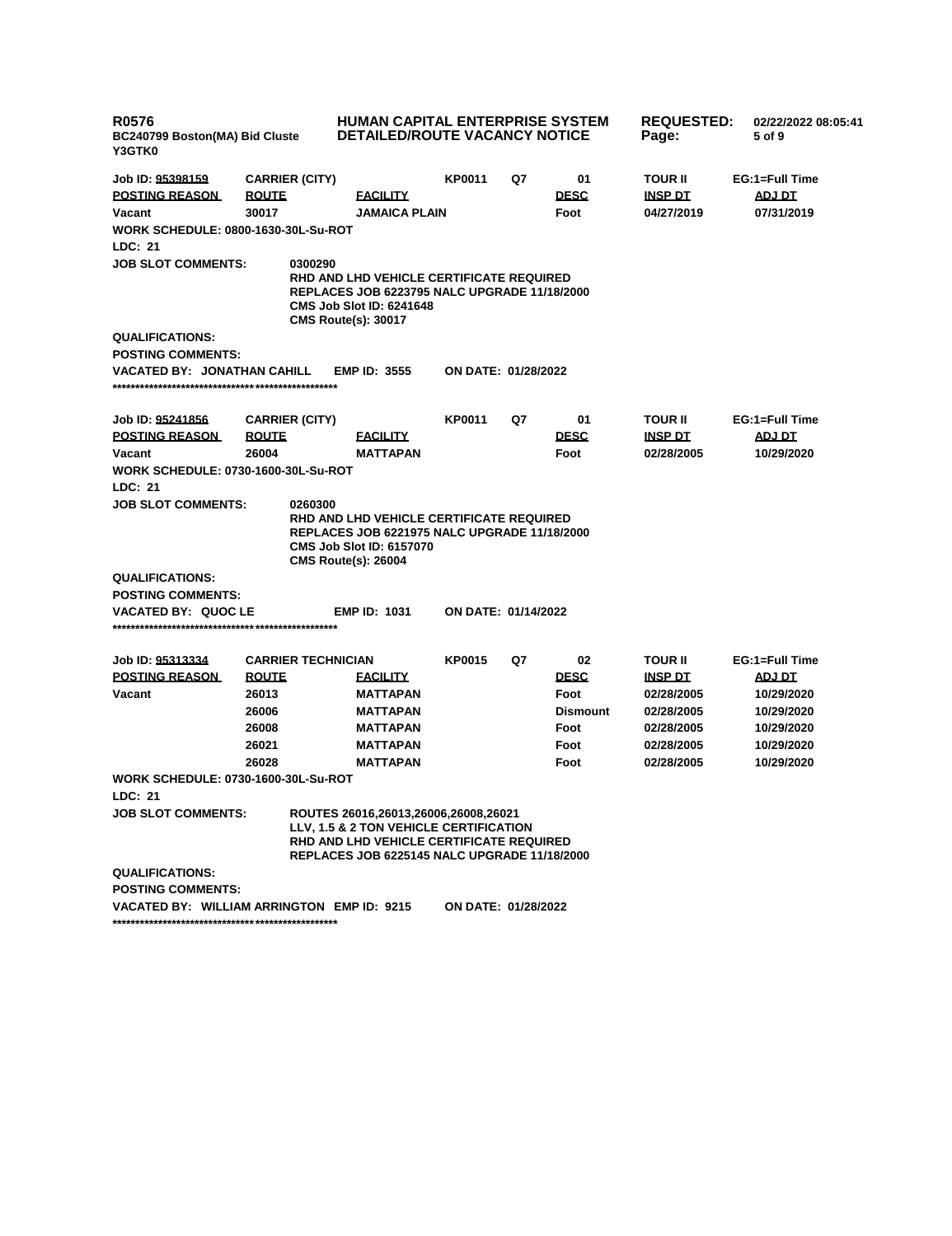| <b>R0576</b><br>BC240799 Boston(MA) Bid Cluste<br>Y3GTK0 |                           |                                                                                                                                                                         | <b>HUMAN CAPITAL ENTERPRISE SYSTEM</b><br><b>REQUESTED:</b><br>02/22/2022 08:05:41<br>DETAILED/ROUTE VACANCY NOTICE<br>Page:<br>5 of 9 |    |                 |                |                |
|----------------------------------------------------------|---------------------------|-------------------------------------------------------------------------------------------------------------------------------------------------------------------------|----------------------------------------------------------------------------------------------------------------------------------------|----|-----------------|----------------|----------------|
| Job ID: 95398159                                         | <b>CARRIER (CITY)</b>     |                                                                                                                                                                         | KP0011                                                                                                                                 | Q7 | 01              | TOUR II        | EG:1=Full Time |
| <b>POSTING REASON</b>                                    | <b>ROUTE</b>              | <b>FACILITY</b>                                                                                                                                                         |                                                                                                                                        |    | <b>DESC</b>     | <b>INSP DT</b> | ADJ DT         |
| Vacant                                                   | 30017                     | <b>JAMAICA PLAIN</b>                                                                                                                                                    |                                                                                                                                        |    | Foot            | 04/27/2019     | 07/31/2019     |
| <b>WORK SCHEDULE: 0800-1630-30L-Su-ROT</b>               |                           |                                                                                                                                                                         |                                                                                                                                        |    |                 |                |                |
| <b>LDC: 21</b>                                           |                           |                                                                                                                                                                         |                                                                                                                                        |    |                 |                |                |
| <b>JOB SLOT COMMENTS:</b>                                | 0300290                   | <b>RHD AND LHD VEHICLE CERTIFICATE REQUIRED</b><br><b>REPLACES JOB 6223795 NALC UPGRADE 11/18/2000</b><br><b>CMS Job Slot ID: 6241648</b><br><b>CMS Route(s): 30017</b> |                                                                                                                                        |    |                 |                |                |
| <b>QUALIFICATIONS:</b>                                   |                           |                                                                                                                                                                         |                                                                                                                                        |    |                 |                |                |
| <b>POSTING COMMENTS:</b>                                 |                           |                                                                                                                                                                         |                                                                                                                                        |    |                 |                |                |
| <b>VACATED BY: JONATHAN CAHILL</b>                       |                           | <b>EMP ID: 3555</b>                                                                                                                                                     | <b>ON DATE: 01/28/2022</b>                                                                                                             |    |                 |                |                |
| Job ID: 95241856                                         | <b>CARRIER (CITY)</b>     |                                                                                                                                                                         | <b>KP0011</b>                                                                                                                          | Q7 | 01              | <b>TOUR II</b> | EG:1=Full Time |
| <b>POSTING REASON</b>                                    | <b>ROUTE</b>              | <b>FACILITY</b>                                                                                                                                                         |                                                                                                                                        |    | <b>DESC</b>     | <b>INSP DT</b> | <b>ADJ DT</b>  |
| Vacant                                                   | 26004                     | <b>MATTAPAN</b>                                                                                                                                                         |                                                                                                                                        |    | Foot            | 02/28/2005     | 10/29/2020     |
| <b>WORK SCHEDULE: 0730-1600-30L-Su-ROT</b>               |                           |                                                                                                                                                                         |                                                                                                                                        |    |                 |                |                |
| LDC: 21                                                  |                           |                                                                                                                                                                         |                                                                                                                                        |    |                 |                |                |
| <b>JOB SLOT COMMENTS:</b>                                | 0260300                   | <b>RHD AND LHD VEHICLE CERTIFICATE REQUIRED</b><br><b>REPLACES JOB 6221975 NALC UPGRADE 11/18/2000</b><br><b>CMS Job Slot ID: 6157070</b><br><b>CMS Route(s): 26004</b> |                                                                                                                                        |    |                 |                |                |
| <b>QUALIFICATIONS:</b>                                   |                           |                                                                                                                                                                         |                                                                                                                                        |    |                 |                |                |
| <b>POSTING COMMENTS:</b>                                 |                           |                                                                                                                                                                         |                                                                                                                                        |    |                 |                |                |
| <b>VACATED BY: QUOC LE</b>                               |                           | <b>EMP ID: 1031</b>                                                                                                                                                     | <b>ON DATE: 01/14/2022</b>                                                                                                             |    |                 |                |                |
| Job ID: 95313334                                         | <b>CARRIER TECHNICIAN</b> |                                                                                                                                                                         | <b>KP0015</b>                                                                                                                          | Q7 | 02              | <b>TOUR II</b> | EG:1=Full Time |
| <b>POSTING REASON</b>                                    | <b>ROUTE</b>              | <b>FACILITY</b>                                                                                                                                                         |                                                                                                                                        |    | <b>DESC</b>     | <u>INSP DT</u> | <b>ADJ DT</b>  |
| Vacant                                                   | 26013                     | <b>MATTAPAN</b>                                                                                                                                                         |                                                                                                                                        |    | Foot            | 02/28/2005     | 10/29/2020     |
|                                                          | 26006                     | MATTAPAN                                                                                                                                                                |                                                                                                                                        |    | <b>Dismount</b> | 02/28/2005     | 10/29/2020     |
|                                                          | 26008                     | MATTAPAN                                                                                                                                                                |                                                                                                                                        |    | Foot            | 02/28/2005     | 10/29/2020     |
|                                                          | 26021                     | MATTAPAN                                                                                                                                                                |                                                                                                                                        |    | Foot            | 02/28/2005     | 10/29/2020     |
|                                                          | 26028                     | <b>MATTAPAN</b>                                                                                                                                                         |                                                                                                                                        |    | Foot            | 02/28/2005     | 10/29/2020     |
| WORK SCHEDULE: 0730-1600-30L-Su-ROT                      |                           |                                                                                                                                                                         |                                                                                                                                        |    |                 |                |                |
| LDC: 21<br><b>JOB SLOT COMMENTS:</b>                     |                           | ROUTES 26016,26013,26006,26008,26021                                                                                                                                    |                                                                                                                                        |    |                 |                |                |
|                                                          |                           | LLV, 1.5 & 2 TON VEHICLE CERTIFICATION<br>RHD AND LHD VEHICLE CERTIFICATE REQUIRED<br><b>REPLACES JOB 6225145 NALC UPGRADE 11/18/2000</b>                               |                                                                                                                                        |    |                 |                |                |
| <b>QUALIFICATIONS:</b>                                   |                           |                                                                                                                                                                         |                                                                                                                                        |    |                 |                |                |
| <b>POSTING COMMENTS:</b>                                 |                           |                                                                                                                                                                         |                                                                                                                                        |    |                 |                |                |
| VACATED BY: WILLIAM ARRINGTON EMP ID: 9215               |                           |                                                                                                                                                                         | ON DATE: 01/28/2022                                                                                                                    |    |                 |                |                |
|                                                          |                           |                                                                                                                                                                         |                                                                                                                                        |    |                 |                |                |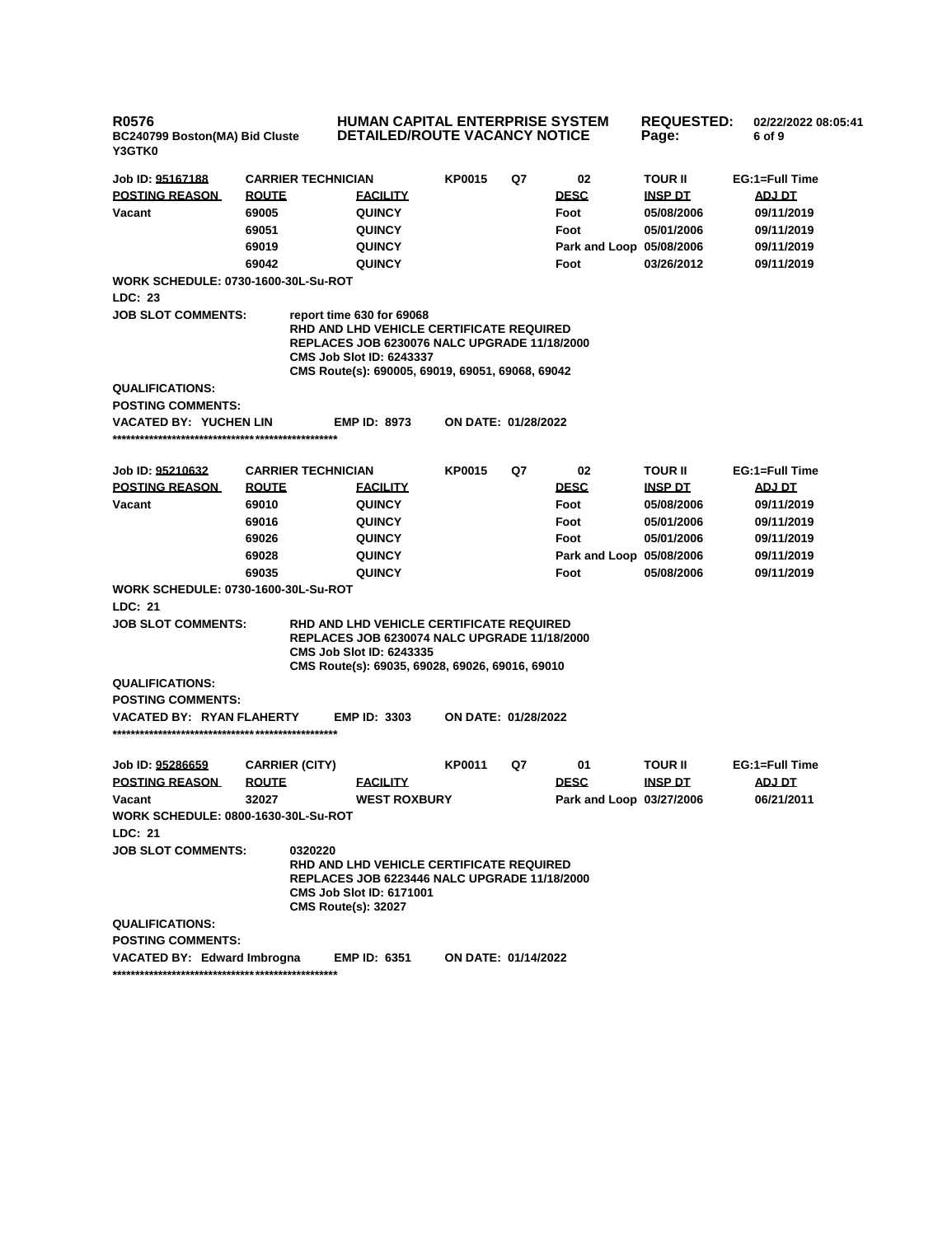**R0576 BC240799 Boston(MA) Bid Cluste Y3GTK0**

**HUMAN CAPITAL ENTERPRISE SYSTEM DETAILED/ROUTE VACANCY NOTICE**

**REQUESTED: Page: 02/22/2022 08:05:41 6 of 9** 

| Job ID: 95167188                           |              | <b>CARRIER TECHNICIAN</b>             |                                                                                                                                                                                                                            | <b>KP0015</b>              | Q7 | 02                       | <b>TOUR II</b> | EG:1=Full Time |
|--------------------------------------------|--------------|---------------------------------------|----------------------------------------------------------------------------------------------------------------------------------------------------------------------------------------------------------------------------|----------------------------|----|--------------------------|----------------|----------------|
| <b>POSTING REASON</b>                      | <b>ROUTE</b> |                                       | <b>EACILITY</b>                                                                                                                                                                                                            |                            |    | <b>DESC</b>              | <b>INSP DT</b> | <b>ADJ DT</b>  |
| Vacant                                     | 69005        |                                       | <b>QUINCY</b>                                                                                                                                                                                                              |                            |    | Foot                     | 05/08/2006     | 09/11/2019     |
|                                            | 69051        |                                       | <b>QUINCY</b>                                                                                                                                                                                                              |                            |    | Foot                     | 05/01/2006     | 09/11/2019     |
|                                            | 69019        |                                       | <b>QUINCY</b>                                                                                                                                                                                                              |                            |    | Park and Loop 05/08/2006 |                | 09/11/2019     |
|                                            | 69042        |                                       | <b>QUINCY</b>                                                                                                                                                                                                              |                            |    | Foot                     | 03/26/2012     | 09/11/2019     |
| <b>WORK SCHEDULE: 0730-1600-30L-Su-ROT</b> |              |                                       |                                                                                                                                                                                                                            |                            |    |                          |                |                |
| LDC: 23                                    |              |                                       |                                                                                                                                                                                                                            |                            |    |                          |                |                |
| <b>JOB SLOT COMMENTS:</b>                  |              |                                       | report time 630 for 69068<br><b>RHD AND LHD VEHICLE CERTIFICATE REQUIRED</b><br><b>REPLACES JOB 6230076 NALC UPGRADE 11/18/2000</b><br><b>CMS Job Slot ID: 6243337</b><br>CMS Route(s): 690005, 69019, 69051, 69068, 69042 |                            |    |                          |                |                |
| <b>QUALIFICATIONS:</b>                     |              |                                       |                                                                                                                                                                                                                            |                            |    |                          |                |                |
| <b>POSTING COMMENTS:</b>                   |              |                                       |                                                                                                                                                                                                                            |                            |    |                          |                |                |
| <b>VACATED BY: YUCHEN LIN</b>              |              |                                       | <b>EMP ID: 8973</b>                                                                                                                                                                                                        | <b>ON DATE: 01/28/2022</b> |    |                          |                |                |
|                                            |              |                                       |                                                                                                                                                                                                                            |                            |    |                          |                |                |
| Job ID: 95210632                           |              | <b>CARRIER TECHNICIAN</b>             |                                                                                                                                                                                                                            | <b>KP0015</b>              | Q7 | 02                       | <b>TOUR II</b> | EG:1=Full Time |
| <b>POSTING REASON</b>                      | <b>ROUTE</b> |                                       | <b>EACILITY</b>                                                                                                                                                                                                            |                            |    | <b>DESC</b>              | <b>INSP DT</b> | <b>ADJ DT</b>  |
| Vacant                                     | 69010        |                                       | <b>QUINCY</b>                                                                                                                                                                                                              |                            |    | Foot                     | 05/08/2006     | 09/11/2019     |
|                                            | 69016        |                                       | <b>QUINCY</b>                                                                                                                                                                                                              |                            |    | Foot                     | 05/01/2006     | 09/11/2019     |
|                                            | 69026        |                                       | <b>QUINCY</b>                                                                                                                                                                                                              |                            |    | Foot                     | 05/01/2006     | 09/11/2019     |
|                                            | 69028        |                                       | <b>QUINCY</b>                                                                                                                                                                                                              |                            |    | Park and Loop 05/08/2006 |                | 09/11/2019     |
|                                            | 69035        |                                       | <b>QUINCY</b>                                                                                                                                                                                                              |                            |    | Foot                     | 05/08/2006     | 09/11/2019     |
| <b>WORK SCHEDULE: 0730-1600-30L-Su-ROT</b> |              |                                       |                                                                                                                                                                                                                            |                            |    |                          |                |                |
| <b>LDC: 21</b>                             |              |                                       |                                                                                                                                                                                                                            |                            |    |                          |                |                |
| <b>JOB SLOT COMMENTS:</b>                  |              |                                       | RHD AND LHD VEHICLE CERTIFICATE REQUIRED<br><b>REPLACES JOB 6230074 NALC UPGRADE 11/18/2000</b><br><b>CMS Job Slot ID: 6243335</b><br>CMS Route(s): 69035, 69028, 69026, 69016, 69010                                      |                            |    |                          |                |                |
| <b>QUALIFICATIONS:</b>                     |              |                                       |                                                                                                                                                                                                                            |                            |    |                          |                |                |
| <b>POSTING COMMENTS:</b>                   |              |                                       |                                                                                                                                                                                                                            |                            |    |                          |                |                |
| VACATED BY: RYAN FLAHERTY                  |              |                                       | <b>EMP ID: 3303</b>                                                                                                                                                                                                        | ON DATE: 01/28/2022        |    |                          |                |                |
| Job ID: 95286659                           |              | <b>CARRIER (CITY)</b>                 |                                                                                                                                                                                                                            | <b>KP0011</b>              | Q7 | 01                       | <b>TOUR II</b> | EG:1=Full Time |
| <b>POSTING REASON</b>                      | <b>ROUTE</b> |                                       | <b>EACILITY</b>                                                                                                                                                                                                            |                            |    | <b>DESC</b>              | <b>INSP DT</b> | <b>ADJ DT</b>  |
| Vacant                                     | 32027        |                                       | <b>WEST ROXBURY</b>                                                                                                                                                                                                        |                            |    | Park and Loop 03/27/2006 |                | 06/21/2011     |
| <b>WORK SCHEDULE: 0800-1630-30L-Su-ROT</b> |              |                                       |                                                                                                                                                                                                                            |                            |    |                          |                |                |
| LDC: 21                                    |              |                                       |                                                                                                                                                                                                                            |                            |    |                          |                |                |
| <b>JOB SLOT COMMENTS:</b>                  |              | 0320220<br><b>CMS Route(s): 32027</b> | RHD AND LHD VEHICLE CERTIFICATE REQUIRED<br><b>REPLACES JOB 6223446 NALC UPGRADE 11/18/2000</b><br><b>CMS Job Slot ID: 6171001</b>                                                                                         |                            |    |                          |                |                |
| <b>QUALIFICATIONS:</b>                     |              |                                       |                                                                                                                                                                                                                            |                            |    |                          |                |                |
| <b>POSTING COMMENTS:</b>                   |              |                                       |                                                                                                                                                                                                                            |                            |    |                          |                |                |
| VACATED BY: Edward Imbrogna                |              |                                       | <b>EMP ID: 6351</b>                                                                                                                                                                                                        | ON DATE: 01/14/2022        |    |                          |                |                |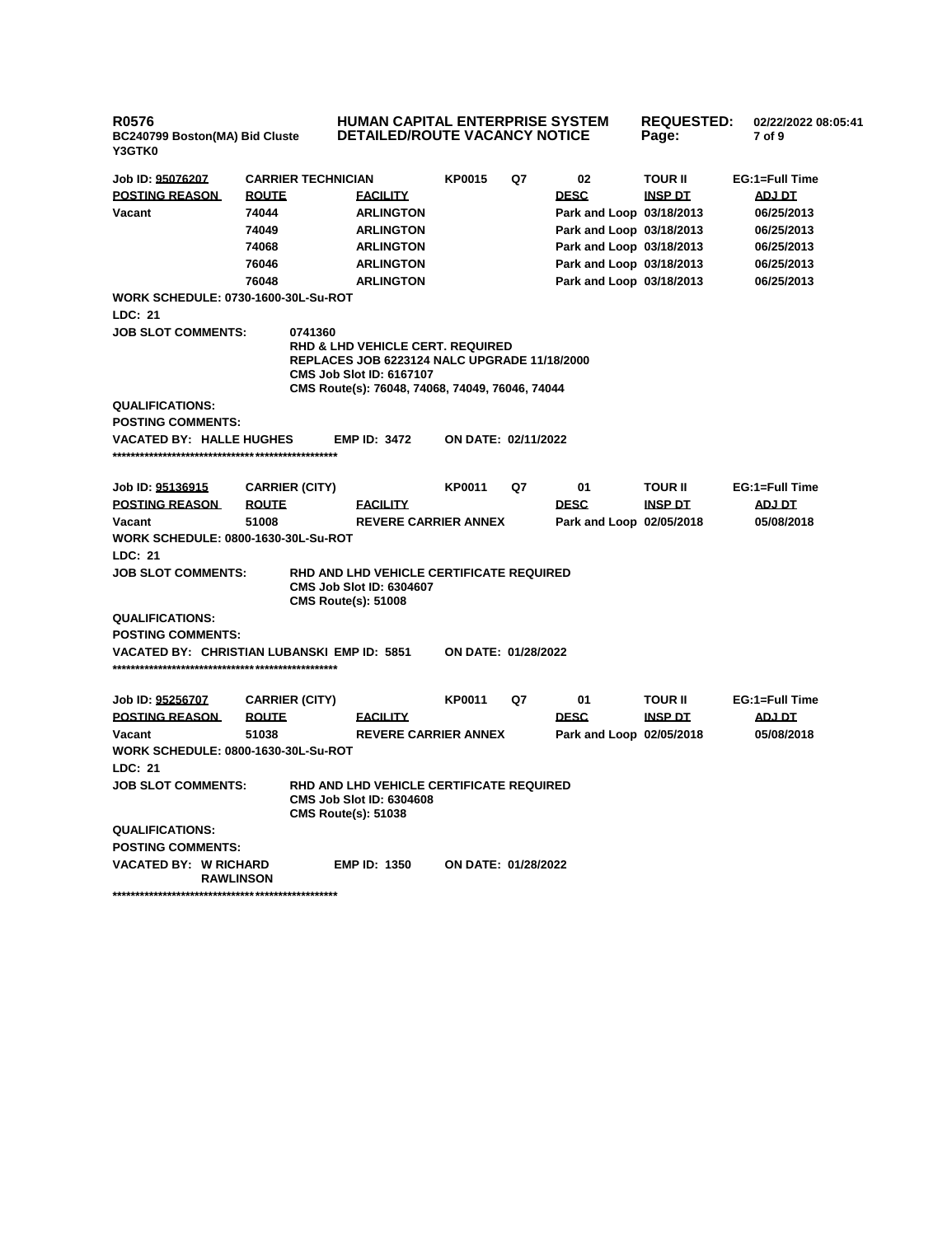| <b>R0576</b><br>BC240799 Boston(MA) Bid Cluste<br><b>Y3GTK0</b> |                           | <b>HUMAN CAPITAL ENTERPRISE SYSTEM</b><br><b>REQUESTED:</b><br>02/22/2022 08:05:41<br><b>DETAILED/ROUTE VACANCY NOTICE</b><br>Page:<br>7 of 9                                            |                     |    |                          |                |                |  |
|-----------------------------------------------------------------|---------------------------|------------------------------------------------------------------------------------------------------------------------------------------------------------------------------------------|---------------------|----|--------------------------|----------------|----------------|--|
| Job ID: 95076207                                                | <b>CARRIER TECHNICIAN</b> |                                                                                                                                                                                          | <b>KP0015</b>       | Q7 | 02                       | <b>TOUR II</b> | EG:1=Full Time |  |
| <b>POSTING REASON</b>                                           | <b>ROUTE</b>              | <b>EACILITY</b>                                                                                                                                                                          |                     |    | <b>DESC</b>              | <b>INSP DT</b> | ADJ DT         |  |
| Vacant                                                          | 74044                     | <b>ARLINGTON</b>                                                                                                                                                                         |                     |    | Park and Loop 03/18/2013 |                | 06/25/2013     |  |
|                                                                 | 74049                     | <b>ARLINGTON</b>                                                                                                                                                                         |                     |    | Park and Loop 03/18/2013 |                | 06/25/2013     |  |
|                                                                 | 74068                     | <b>ARLINGTON</b>                                                                                                                                                                         |                     |    | Park and Loop 03/18/2013 |                | 06/25/2013     |  |
|                                                                 | 76046                     | <b>ARLINGTON</b>                                                                                                                                                                         |                     |    | Park and Loop 03/18/2013 |                | 06/25/2013     |  |
|                                                                 | 76048                     | <b>ARLINGTON</b>                                                                                                                                                                         |                     |    | Park and Loop 03/18/2013 |                | 06/25/2013     |  |
| <b>WORK SCHEDULE: 0730-1600-30L-Su-ROT</b>                      |                           |                                                                                                                                                                                          |                     |    |                          |                |                |  |
| LDC: 21                                                         |                           |                                                                                                                                                                                          |                     |    |                          |                |                |  |
| <b>JOB SLOT COMMENTS:</b>                                       | 0741360                   |                                                                                                                                                                                          |                     |    |                          |                |                |  |
|                                                                 |                           | <b>RHD &amp; LHD VEHICLE CERT. REQUIRED</b><br><b>REPLACES JOB 6223124 NALC UPGRADE 11/18/2000</b><br><b>CMS Job Slot ID: 6167107</b><br>CMS Route(s): 76048, 74068, 74049, 76046, 74044 |                     |    |                          |                |                |  |
| <b>QUALIFICATIONS:</b>                                          |                           |                                                                                                                                                                                          |                     |    |                          |                |                |  |
| <b>POSTING COMMENTS:</b>                                        |                           |                                                                                                                                                                                          |                     |    |                          |                |                |  |
| <b>VACATED BY: HALLE HUGHES</b>                                 |                           | <b>EMP ID: 3472</b>                                                                                                                                                                      | ON DATE: 02/11/2022 |    |                          |                |                |  |
|                                                                 |                           |                                                                                                                                                                                          |                     |    |                          |                |                |  |
|                                                                 |                           |                                                                                                                                                                                          |                     |    |                          |                |                |  |
| Job ID: 95136915                                                | <b>CARRIER (CITY)</b>     |                                                                                                                                                                                          | KP0011              | Q7 | 01                       | <b>TOUR II</b> | EG:1=Full Time |  |
| <b>POSTING REASON</b>                                           | <b>ROUTE</b>              | <b>FACILITY</b>                                                                                                                                                                          |                     |    | <b>DESC</b>              | <b>INSP DT</b> | <b>ADJ DT</b>  |  |
| Vacant                                                          | 51008                     | <b>REVERE CARRIER ANNEX</b>                                                                                                                                                              |                     |    | Park and Loop 02/05/2018 |                | 05/08/2018     |  |
| <b>WORK SCHEDULE: 0800-1630-30L-Su-ROT</b>                      |                           |                                                                                                                                                                                          |                     |    |                          |                |                |  |
| LDC: 21                                                         |                           |                                                                                                                                                                                          |                     |    |                          |                |                |  |
| <b>JOB SLOT COMMENTS:</b>                                       |                           | RHD AND LHD VEHICLE CERTIFICATE REQUIRED<br><b>CMS Job Slot ID: 6304607</b><br><b>CMS Route(s): 51008</b>                                                                                |                     |    |                          |                |                |  |
| <b>QUALIFICATIONS:</b>                                          |                           |                                                                                                                                                                                          |                     |    |                          |                |                |  |
| <b>POSTING COMMENTS:</b>                                        |                           |                                                                                                                                                                                          |                     |    |                          |                |                |  |
| VACATED BY: CHRISTIAN LUBANSKI EMP ID: 5851                     |                           |                                                                                                                                                                                          | ON DATE: 01/28/2022 |    |                          |                |                |  |
|                                                                 |                           |                                                                                                                                                                                          |                     |    |                          |                |                |  |
| Job ID: <u>95256707</u>                                         | <b>CARRIER (CITY)</b>     |                                                                                                                                                                                          | KP0011              | Q7 | 01                       | <b>TOUR II</b> | EG:1=Full Time |  |
| <b>POSTING REASON</b>                                           | <b>ROUTE</b>              | <b>FACILITY</b>                                                                                                                                                                          |                     |    | <b>DESC</b>              | <b>INSP DT</b> | <b>ADJ DT</b>  |  |
| Vacant                                                          | 51038                     | <b>REVERE CARRIER ANNEX</b>                                                                                                                                                              |                     |    | Park and Loop 02/05/2018 |                | 05/08/2018     |  |
| <b>WORK SCHEDULE: 0800-1630-30L-Su-ROT</b>                      |                           |                                                                                                                                                                                          |                     |    |                          |                |                |  |
| LDC: 21                                                         |                           |                                                                                                                                                                                          |                     |    |                          |                |                |  |
| <b>JOB SLOT COMMENTS:</b>                                       |                           | RHD AND LHD VEHICLE CERTIFICATE REQUIRED<br><b>CMS Job Slot ID: 6304608</b><br><b>CMS Route(s): 51038</b>                                                                                |                     |    |                          |                |                |  |
| <b>QUALIFICATIONS:</b>                                          |                           |                                                                                                                                                                                          |                     |    |                          |                |                |  |
| <b>POSTING COMMENTS:</b>                                        |                           |                                                                                                                                                                                          |                     |    |                          |                |                |  |
| <b>VACATED BY: W RICHARD</b><br><b>RAWLINSON</b>                |                           | <b>EMP ID: 1350</b>                                                                                                                                                                      | ON DATE: 01/28/2022 |    |                          |                |                |  |
|                                                                 |                           |                                                                                                                                                                                          |                     |    |                          |                |                |  |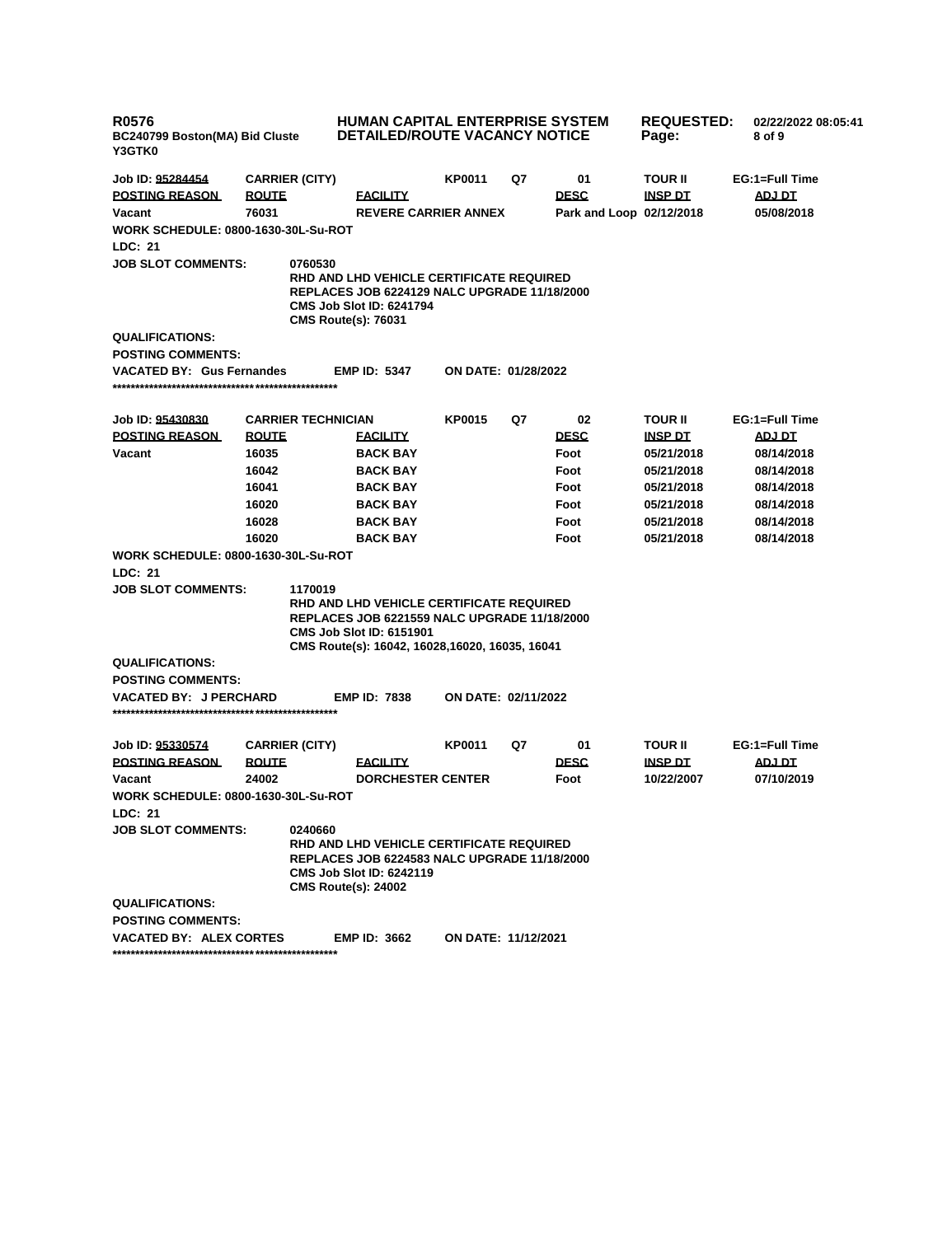| R0576<br>BC240799 Boston(MA) Bid Cluste<br>Y3GTK0     |                           | HUMAN CAPITAL ENTERPRISE SYSTEM<br><b>DETAILED/ROUTE VACANCY NOTICE</b>                                                                                                               |                            | <b>REQUESTED:</b><br>Page: | 02/22/2022 08:05:41<br>8 of 9 |                |                |
|-------------------------------------------------------|---------------------------|---------------------------------------------------------------------------------------------------------------------------------------------------------------------------------------|----------------------------|----------------------------|-------------------------------|----------------|----------------|
| Job ID: 95284454                                      | <b>CARRIER (CITY)</b>     |                                                                                                                                                                                       | KP0011                     | Q7                         | 01                            | <b>TOUR II</b> | EG:1=Full Time |
| <b>POSTING REASON</b>                                 | <b>ROUTE</b>              | <b>FACILITY</b>                                                                                                                                                                       |                            |                            | <b>DESC</b>                   | <b>INSP DT</b> | ADJ DT         |
| Vacant                                                | 76031                     | <b>REVERE CARRIER ANNEX</b>                                                                                                                                                           |                            |                            | Park and Loop 02/12/2018      |                | 05/08/2018     |
| <b>WORK SCHEDULE: 0800-1630-30L-Su-ROT</b><br>LDC: 21 |                           |                                                                                                                                                                                       |                            |                            |                               |                |                |
| <b>JOB SLOT COMMENTS:</b>                             | 0760530                   | RHD AND LHD VEHICLE CERTIFICATE REQUIRED<br><b>REPLACES JOB 6224129 NALC UPGRADE 11/18/2000</b><br><b>CMS Job Slot ID: 6241794</b><br><b>CMS Route(s): 76031</b>                      |                            |                            |                               |                |                |
| <b>QUALIFICATIONS:</b><br><b>POSTING COMMENTS:</b>    |                           |                                                                                                                                                                                       |                            |                            |                               |                |                |
| <b>VACATED BY: Gus Fernandes</b>                      |                           | <b>EMP ID: 5347</b>                                                                                                                                                                   | ON DATE: 01/28/2022        |                            |                               |                |                |
|                                                       |                           |                                                                                                                                                                                       |                            |                            |                               |                |                |
| Job ID: 95430830                                      | <b>CARRIER TECHNICIAN</b> |                                                                                                                                                                                       | <b>KP0015</b>              | Q7                         | 02                            | <b>TOUR II</b> | EG:1=Full Time |
| <b>POSTING REASON</b>                                 | <b>ROUTE</b>              | <u>FACILITY</u>                                                                                                                                                                       |                            |                            | <b>DESC</b>                   | <u>INSP DT</u> | <b>ADJ DT</b>  |
| Vacant                                                | 16035                     | <b>BACK BAY</b>                                                                                                                                                                       |                            |                            | Foot                          | 05/21/2018     | 08/14/2018     |
|                                                       | 16042                     | <b>BACK BAY</b>                                                                                                                                                                       |                            |                            | Foot                          | 05/21/2018     | 08/14/2018     |
|                                                       | 16041                     | <b>BACK BAY</b>                                                                                                                                                                       |                            |                            | Foot                          | 05/21/2018     | 08/14/2018     |
|                                                       | 16020                     | <b>BACK BAY</b>                                                                                                                                                                       |                            |                            | Foot                          | 05/21/2018     | 08/14/2018     |
|                                                       | 16028                     | <b>BACK BAY</b>                                                                                                                                                                       |                            |                            | Foot                          | 05/21/2018     | 08/14/2018     |
|                                                       | 16020                     | <b>BACK BAY</b>                                                                                                                                                                       |                            |                            | Foot                          | 05/21/2018     | 08/14/2018     |
| <b>WORK SCHEDULE: 0800-1630-30L-Su-ROT</b>            |                           |                                                                                                                                                                                       |                            |                            |                               |                |                |
| LDC: 21<br><b>JOB SLOT COMMENTS:</b>                  | 1170019                   |                                                                                                                                                                                       |                            |                            |                               |                |                |
|                                                       |                           | RHD AND LHD VEHICLE CERTIFICATE REQUIRED<br><b>REPLACES JOB 6221559 NALC UPGRADE 11/18/2000</b><br><b>CMS Job Slot ID: 6151901</b><br>CMS Route(s): 16042, 16028, 16020, 16035, 16041 |                            |                            |                               |                |                |
| <b>QUALIFICATIONS:</b>                                |                           |                                                                                                                                                                                       |                            |                            |                               |                |                |
| <b>POSTING COMMENTS:</b>                              |                           |                                                                                                                                                                                       |                            |                            |                               |                |                |
| <b>VACATED BY: J PERCHARD</b>                         |                           | <b>EMP ID: 7838</b>                                                                                                                                                                   | ON DATE: 02/11/2022        |                            |                               |                |                |
| Job ID: 95330574                                      | <b>CARRIER (CITY)</b>     |                                                                                                                                                                                       | <b>KP0011</b>              | Q7                         | 01                            | <b>TOUR II</b> | EG:1=Full Time |
| <b>POSTING REASON</b>                                 | <b>ROUTE</b>              | <u>FACILITY</u>                                                                                                                                                                       |                            |                            | <b>DESC</b>                   | <b>INSP DT</b> | ADJ DT         |
| Vacant                                                | 24002                     | <b>DORCHESTER CENTER</b>                                                                                                                                                              |                            |                            | Foot                          | 10/22/2007     | 07/10/2019     |
| <b>WORK SCHEDULE: 0800-1630-30L-Su-ROT</b><br>LDC: 21 |                           |                                                                                                                                                                                       |                            |                            |                               |                |                |
| <b>JOB SLOT COMMENTS:</b>                             | 0240660                   | <b>RHD AND LHD VEHICLE CERTIFICATE REQUIRED</b><br><b>REPLACES JOB 6224583 NALC UPGRADE 11/18/2000</b><br><b>CMS Job Slot ID: 6242119</b><br><b>CMS Route(s): 24002</b>               |                            |                            |                               |                |                |
| <b>QUALIFICATIONS:</b><br><b>POSTING COMMENTS:</b>    |                           |                                                                                                                                                                                       |                            |                            |                               |                |                |
| <b>VACATED BY: ALEX CORTES</b>                        |                           | <b>EMP ID: 3662</b>                                                                                                                                                                   | <b>ON DATE: 11/12/2021</b> |                            |                               |                |                |
|                                                       |                           |                                                                                                                                                                                       |                            |                            |                               |                |                |